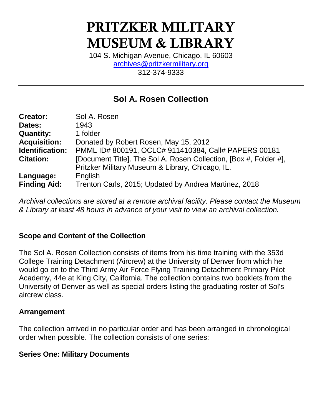# PRITZKER MILITARY MUSEUM & LIBRARY

104 S. Michigan Avenue, Chicago, IL 60603 [archives@pritzkermilitary.org](mailto:archives@pritzkermilitary.org) 312-374-9333

## **Sol A. Rosen Collection**

| <b>Creator:</b>     | Sol A. Rosen                                                      |
|---------------------|-------------------------------------------------------------------|
| Dates:              | 1943                                                              |
| <b>Quantity:</b>    | 1 folder                                                          |
| <b>Acquisition:</b> | Donated by Robert Rosen, May 15, 2012                             |
| Identification:     | PMML ID# 800191, OCLC# 911410384, Call# PAPERS 00181              |
| <b>Citation:</b>    | [Document Title]. The Sol A. Rosen Collection, [Box #, Folder #], |
|                     | Pritzker Military Museum & Library, Chicago, IL.                  |
| Language:           | English                                                           |
| <b>Finding Aid:</b> | Trenton Carls, 2015; Updated by Andrea Martinez, 2018             |

*Archival collections are stored at a remote archival facility. Please contact the Museum & Library at least 48 hours in advance of your visit to view an archival collection.*

## **Scope and Content of the Collection**

The Sol A. Rosen Collection consists of items from his time training with the 353d College Training Detachment (Aircrew) at the University of Denver from which he would go on to the Third Army Air Force Flying Training Detachment Primary Pilot Academy, 44e at King City, California. The collection contains two booklets from the University of Denver as well as special orders listing the graduating roster of Sol's aircrew class.

## **Arrangement**

The collection arrived in no particular order and has been arranged in chronological order when possible. The collection consists of one series:

## **Series One: Military Documents**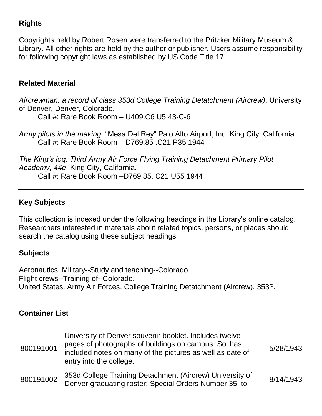## **Rights**

Copyrights held by Robert Rosen were transferred to the Pritzker Military Museum & Library. All other rights are held by the author or publisher. Users assume responsibility for following copyright laws as established by US Code Title 17.

## **Related Material**

*Aircrewman: a record of class 353d College Training Detatchment (Aircrew)*, University of Denver, Denver, Colorado.

Call #: Rare Book Room – U409.C6 U5 43-C-6

*Army pilots in the making.* "Mesa Del Rey" Palo Alto Airport, Inc. King City, California Call #: Rare Book Room – D769.85 .C21 P35 1944

*The King's log: Third Army Air Force Flying Training Detachment Primary Pilot Academy, 44e*, King City, California.

Call #: Rare Book Room –D769.85. C21 U55 1944

## **Key Subjects**

This collection is indexed under the following headings in the Library's online catalog. Researchers interested in materials about related topics, persons, or places should search the catalog using these subject headings.

## **Subjects**

Aeronautics, Military--Study and teaching--Colorado. Flight crews--Training of--Colorado. United States. Army Air Forces. College Training Detatchment (Aircrew), 353rd.

## **Container List**

| 800191001 | University of Denver souvenir booklet. Includes twelve<br>pages of photographs of buildings on campus. Sol has<br>included notes on many of the pictures as well as date of<br>entry into the college. | 5/28/1943 |
|-----------|--------------------------------------------------------------------------------------------------------------------------------------------------------------------------------------------------------|-----------|
| 800191002 | 353d College Training Detachment (Aircrew) University of<br>Denver graduating roster: Special Orders Number 35, to                                                                                     | 8/14/1943 |